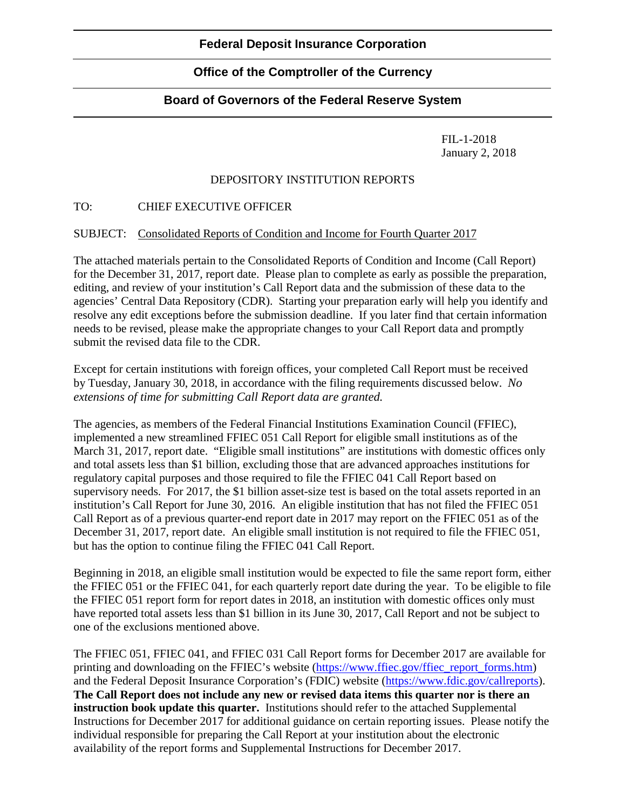# **Office of the Comptroller of the Currency**

# **Board of Governors of the Federal Reserve System**

FIL-1-2018 January 2, 2018

### DEPOSITORY INSTITUTION REPORTS

### TO: CHIEF EXECUTIVE OFFICER

### SUBJECT: Consolidated Reports of Condition and Income for Fourth Quarter 2017

The attached materials pertain to the Consolidated Reports of Condition and Income (Call Report) for the December 31, 2017, report date. Please plan to complete as early as possible the preparation, editing, and review of your institution's Call Report data and the submission of these data to the agencies' Central Data Repository (CDR). Starting your preparation early will help you identify and resolve any edit exceptions before the submission deadline. If you later find that certain information needs to be revised, please make the appropriate changes to your Call Report data and promptly submit the revised data file to the CDR.

Except for certain institutions with foreign offices, your completed Call Report must be received by Tuesday, January 30, 2018, in accordance with the filing requirements discussed below. *No extensions of time for submitting Call Report data are granted.* 

The agencies, as members of the Federal Financial Institutions Examination Council (FFIEC), implemented a new streamlined FFIEC 051 Call Report for eligible small institutions as of the March 31, 2017, report date. "Eligible small institutions" are institutions with domestic offices only and total assets less than \$1 billion, excluding those that are advanced approaches institutions for regulatory capital purposes and those required to file the FFIEC 041 Call Report based on supervisory needs. For 2017, the \$1 billion asset-size test is based on the total assets reported in an institution's Call Report for June 30, 2016. An eligible institution that has not filed the FFIEC 051 Call Report as of a previous quarter-end report date in 2017 may report on the FFIEC 051 as of the December 31, 2017, report date. An eligible small institution is not required to file the FFIEC 051, but has the option to continue filing the FFIEC 041 Call Report.

Beginning in 2018, an eligible small institution would be expected to file the same report form, either the FFIEC 051 or the FFIEC 041, for each quarterly report date during the year. To be eligible to file the FFIEC 051 report form for report dates in 2018, an institution with domestic offices only must have reported total assets less than \$1 billion in its June 30, 2017, Call Report and not be subject to one of the exclusions mentioned above.

The FFIEC 051, FFIEC 041, and FFIEC 031 Call Report forms for December 2017 are available for printing and downloading on the FFIEC's website [\(https://www.ffiec.gov/ffiec\\_report\\_forms.htm\)](https://www.ffiec.gov/ffiec_report_forms.htm) and the Federal Deposit Insurance Corporation's (FDIC) website [\(https://www.fdic.gov/callreports\)](https://www.fdic.gov/callreports). **The Call Report does not include any new or revised data items this quarter nor is there an instruction book update this quarter.** Institutions should refer to the attached Supplemental Instructions for December 2017 for additional guidance on certain reporting issues. Please notify the individual responsible for preparing the Call Report at your institution about the electronic availability of the report forms and Supplemental Instructions for December 2017.